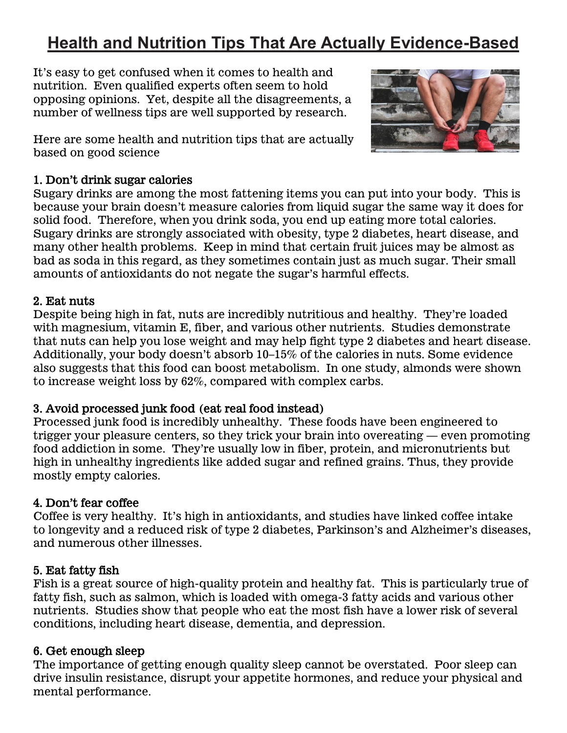# **Health and Nutrition Tips That Are Actually Evidence-Based**

It's easy to get confused when it comes to health and nutrition. Even qualified experts often seem to hold opposing opinions. Yet, despite all the disagreements, a number of wellness tips are well supported by research.

Here are some health and nutrition tips that are actually based on good science

# **1. Don't drink sugar calories**

Sugary drinks are among the most fattening items you can put into your body. This is because your brain doesn't measure calories from liquid sugar the same way it does for solid food. Therefore, when you drink soda, you end up eating more total calories. [Sugary drinks](https://www.healthline.com/nutrition/13-ways-sugary-soda-is-bad-for-you/) are strongly associated with obesity, type 2 diabetes, heart disease, and many other health problems. Keep in mind that certain [fruit juices](https://www.healthline.com/nutrition/fruit-juice-is-just-as-bad-as-soda/) may be almost as bad as soda in this regard, as they sometimes contain just as much sugar. Their small amounts of antioxidants do not negate the sugar's harmful effects.

## **2. Eat nuts**

Despite being [high in fat,](https://www.healthline.com/nutrition/10-super-healthy-high-fat-foods/) nuts are incredibly nutritious and healthy. They're loaded with magnesium, vitamin E, fiber, and various other nutrients. Studies demonstrate that nuts can help you lose weight and may help fight type 2 diabetes and heart disease. Additionally, your body doesn't absorb 10–15% of the calories in nuts. Some evidence also suggests that this food can boost metabolism. In one study, [almonds](https://www.healthline.com/nutrition/9-proven-benefits-of-almonds/) were shown to increase weight loss by 62%, compared with complex carbs.

# **3. Avoid processed junk food (eat real food instead)**

Processed junk food is incredibly unhealthy. These foods have been engineered to trigger your pleasure centers, so they trick your brain into overeating — even promoting food [addiction](https://www.healthline.com/nutrition/how-to-overcome-food-addiction/) in some. They're usually low in fiber, protein, and micronutrients but high in unhealthy ingredients like added sugar and [refined grains.](https://www.healthline.com/nutrition/why-refined-carbs-are-bad) Thus, they provide mostly empty calories.

# **4. Don't fear coffee**

Coffee is [very healthy.](https://www.healthline.com/nutrition/top-13-evidence-based-health-benefits-of-coffee/) It's high in antioxidants, and studies have linked coffee intake to [longevity](https://www.healthline.com/nutrition/how-coffee-makes-you-live-longer/) and a reduced risk of type 2 diabetes, Parkinson's and Alzheimer's diseases, and numerous other illnesses.

# **5. Eat fatty fish**

Fish is a great source of high-quality protein and healthy fat. This is particularly true of fatty fish, such as [salmon,](https://www.healthline.com/nutrition/11-benefits-of-salmon) which is loaded with omega-3 fatty acids and various other nutrients. Studies show that people who eat the most [fish](https://www.healthline.com/nutrition/11-health-benefits-of-fish) have a lower risk of several conditions, including heart disease, dementia, and depression.

## **6. Get enough sleep**

The importance of getting enough [quality sleep](https://www.healthline.com/nutrition/10-reasons-why-good-sleep-is-important/) cannot be overstated. Poor sleep can drive insulin resistance, disrupt your appetite hormones, and reduce your physical and mental performance.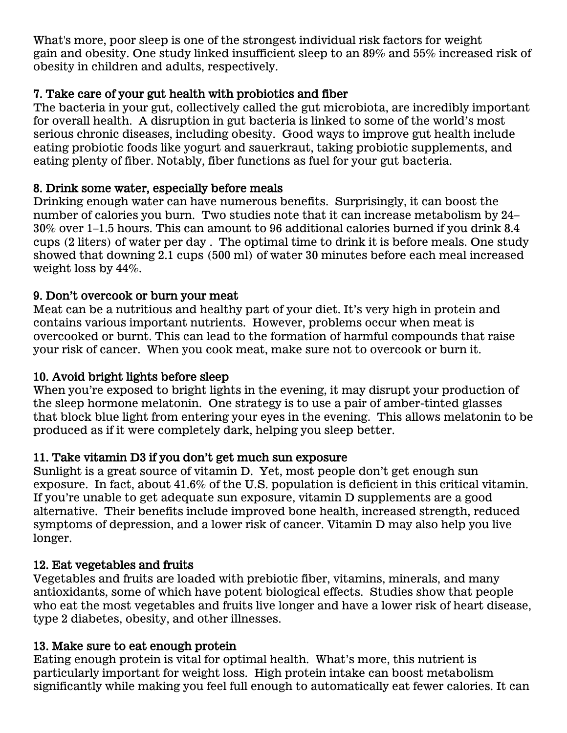What's more, poor sleep is one of the strongest individual risk factors for [weight](https://www.healthline.com/nutrition/10-causes-of-weight-gain)  [gain](https://www.healthline.com/nutrition/10-causes-of-weight-gain) and obesity. One study linked insufficient sleep to an 89% and 55% increased risk of obesity in children and adults, respectively.

# **7. Take care of your gut health with probiotics and fiber**

The bacteria in your gut, collectively called the [gut microbiota,](https://www.healthline.com/nutrition/gut-microbiome-and-health) are incredibly important for overall health. A disruption in gut bacteria is linked to some of the world's most serious chronic diseases, including obesity. Good ways to improve gut health include eating probiotic foods like yogurt and sauerkraut, taking [probiotic supplements,](https://www.healthline.com/nutrition/probiotics-101/) and eating plenty of fiber. Notably, fiber functions as fuel for your gut bacteria.

# **8. Drink some water, especially before meals**

Drinking enough water can have [numerous benefits.](https://www.healthline.com/nutrition/7-health-benefits-of-water/) Surprisingly, it can boost the number of calories you burn. Two studies note that it can increase metabolism by 24– 30% over 1–1.5 hours. This can amount to 96 additional calories burned if you drink 8.4 cups (2 liters) of [water per day](https://www.healthline.com/nutrition/how-much-water-should-you-drink-per-day/) . The optimal time to drink it is before meals. One study showed that downing 2.1 cups (500 ml) of water 30 minutes before each meal increased weight loss by 44%.

# **9. Don't overcook or burn your meat**

Meat can be a nutritious and healthy part of your diet. It's very [high in protein](https://www.healthline.com/nutrition/20-delicious-high-protein-foods/) and contains various important nutrients. However, problems occur when meat is overcooked or burnt. This can lead to the formation of harmful compounds that raise your risk of cancer. When you [cook meat,](https://www.healthline.com/nutrition/healthiest-way-to-cook-meat) make sure not to overcook or burn it.

# **10. Avoid bright lights before sleep**

When you're exposed to bright lights in the evening, it may disrupt your production of the sleep hormone melatonin. One strategy is to use a pair of amber-tinted glasses that [block blue light](https://www.healthline.com/nutrition/block-blue-light-to-sleep-better/) from entering your eyes in the evening. This allows [melatonin](https://www.healthline.com/nutrition/melatonin) to be produced as if it were completely dark, helping you sleep better.

## **11. Take vitamin D3 if you don't get much sun exposure**

Sunlight is a great source of vitamin D. Yet, most people don't get enough [sun](https://www.healthline.com/nutrition/vitamin-d-from-sun)  [exposure.](https://www.healthline.com/nutrition/vitamin-d-from-sun) In fact, about 41.6% of the U.S. population is deficient in this critical vitamin. If you're unable to get adequate sun exposure, vitamin D supplements are a good alternative. Their benefits include improved bone health, increased strength, reduced symptoms of depression, and a lower risk of cancer. [Vitamin D](https://www.healthline.com/nutrition/vitamin-d-101) may also help you live longer.

## **12. Eat vegetables and fruits**

Vegetables and [fruits](https://www.healthline.com/nutrition/is-fruit-good-or-bad-for-your-health/) are loaded with prebiotic fiber, vitamins, minerals, and many antioxidants, some of which have potent biological effects. Studies show that people who eat the most [vegetables](https://www.healthline.com/nutrition/14-healthiest-vegetables-on-earth) and fruits live longer and have a lower risk of heart disease, type 2 diabetes, obesity, and other illnesses.

# **13. Make sure to eat enough protein**

Eating [enough protein](https://www.healthline.com/nutrition/how-much-protein-per-day/) is vital for optimal health. What's more, this nutrient is particularly important for weight loss. High protein intake can boost metabolism significantly while making you feel full enough to automatically eat fewer calories. It can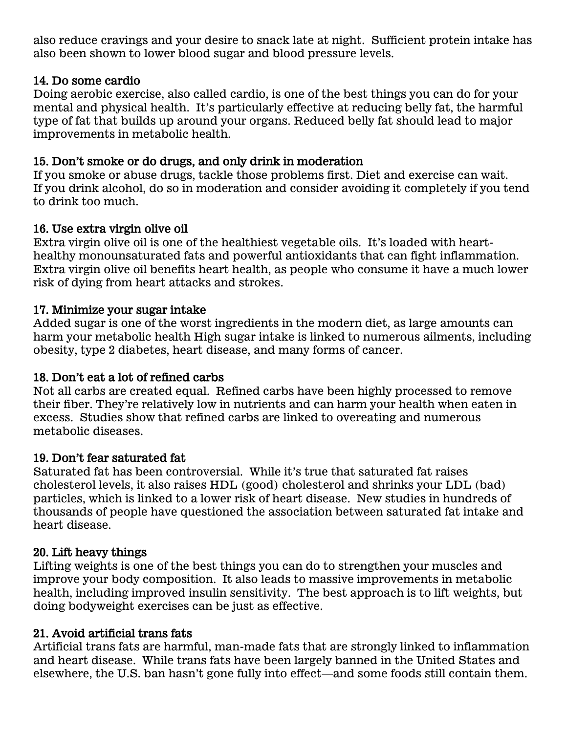also reduce [cravings](https://www.healthline.com/nutrition/3-step-plan-to-stop-sugar-cravings/) and your desire to snack late at night. Sufficient protein intake has also been shown to lower blood sugar and blood pressure levels.

#### **14. Do some cardio**

Doing aerobic exercise, also called [cardio,](https://www.healthline.com/nutrition/cardio-vs-weights-for-weight-loss) is one of the best things you can do for your mental and physical health. It's particularly effective at reducing belly fat, the harmful type of fat that builds up around your organs. [Reduced belly fat](https://www.healthline.com/nutrition/6-proven-ways-to-lose-belly-fat) should lead to major improvements in metabolic health.

## **15. Don't smoke or do drugs, and only drink in moderation**

If you smoke or abuse drugs, tackle those problems first. Diet and [exercise](https://www.healthline.com/nutrition/10-benefits-of-exercise) can wait. If you drink [alcohol,](https://www.healthline.com/nutrition/alcohol-good-or-bad/) do so in moderation and consider avoiding it completely if you tend to drink too much.

## **16. Use extra virgin olive oil**

[Extra virgin olive oil](https://www.healthline.com/nutrition/extra-virgin-olive-oil/) is one of the healthiest vegetable oils. It's loaded with hearthealthy monounsaturated fats and powerful antioxidants that can fight inflammation. Extra virgin olive oil benefits [heart health,](https://www.healthline.com/nutrition/heart-healthy-foods) as people who consume it have a much lower risk of dying from heart attacks and strokes.

## **17. Minimize your sugar intake**

[Added sugar](https://www.healthline.com/nutrition/sugar-the-worst-ingredient-in-the-diet/) is one of the worst ingredients in the modern diet, as large amounts can harm your metabolic health High sugar intake is linked to numerous ailments, including obesity, type 2 diabetes, heart disease, and many forms of [cancer.](https://www.healthline.com/nutrition/cancer-and-diet)

## **18. Don't eat a lot of refined carbs**

Not all [carbs](https://www.healthline.com/nutrition/how-many-carbs-per-day-to-lose-weight/) are created equal. Refined carbs have been highly processed to remove their [fiber](https://www.healthline.com/nutrition/why-is-fiber-good-for-you). They're relatively low in nutrients and can harm your health when eaten in excess. Studies show that refined carbs are linked to overeating and numerous metabolic diseases.

## **19. Don't fear saturated fat**

[Saturated fat](https://www.healthline.com/nutrition/saturated-fat-good-or-bad/) has been controversial. While it's true that saturated fat [raises](https://www.healthline.com/nutrition/top-9-biggest-lies-about-dietary-fat-and-cholesterol)  [cholesterol levels,](https://www.healthline.com/nutrition/top-9-biggest-lies-about-dietary-fat-and-cholesterol) it also raises HDL (good) cholesterol and shrinks your LDL (bad) particles, which is linked to a lower risk of heart disease. New studies in hundreds of thousands of people have questioned the association between saturated fat intake and heart disease.

#### **20. Lift heavy things**

Lifting weights is one of the best things you can do to strengthen your muscles and improve your [body composition.](https://www.healthline.com/nutrition/improve-body-composition) It also leads to massive improvements in metabolic health, including improved [insulin sensitivity.](https://www.healthline.com/nutrition/improve-insulin-sensitivity) The best approach is to lift weights, but doing bodyweight exercises can be just as effective.

## **21. Avoid artificial trans fats**

Artificial [trans fats](https://www.healthline.com/nutrition/why-trans-fats-are-bad/) are harmful, man-made fats that are strongly linked to inflammation and heart disease. While trans fats have been largely banned in the United States and elsewhere, the U.S. ban hasn't gone fully into effect—and [some foods](https://www.healthline.com/nutrition/trans-fat-foods) still contain them.